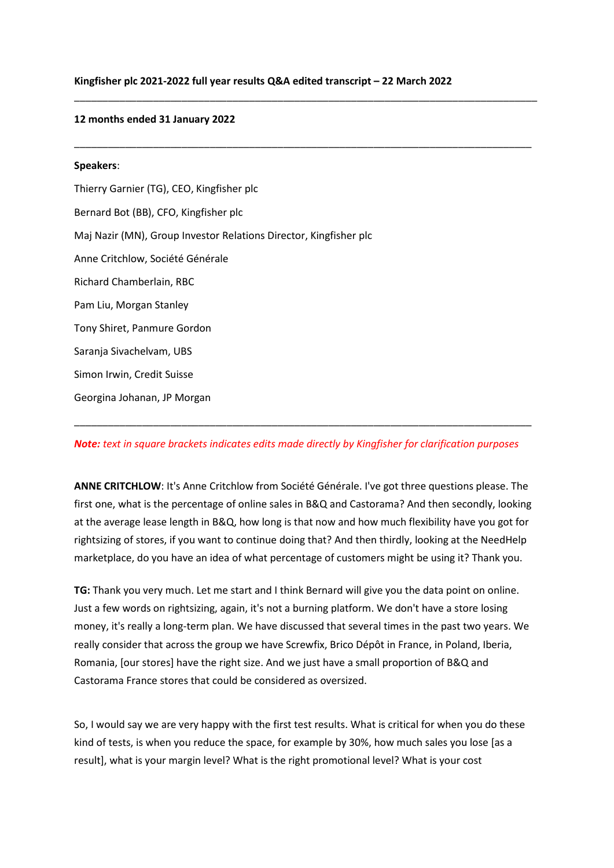\_\_\_\_\_\_\_\_\_\_\_\_\_\_\_\_\_\_\_\_\_\_\_\_\_\_\_\_\_\_\_\_\_\_\_\_\_\_\_\_\_\_\_\_\_\_\_\_\_\_\_\_\_\_\_\_\_\_\_\_\_\_\_\_\_\_\_\_\_\_\_\_\_\_\_\_\_\_\_\_\_\_

\_\_\_\_\_\_\_\_\_\_\_\_\_\_\_\_\_\_\_\_\_\_\_\_\_\_\_\_\_\_\_\_\_\_\_\_\_\_\_\_\_\_\_\_\_\_\_\_\_\_\_\_\_\_\_\_\_\_\_\_\_\_\_\_\_\_\_\_\_\_\_\_\_\_\_\_\_\_\_\_\_

#### **12 months ended 31 January 2022**

# **Speakers**: Thierry Garnier (TG), CEO, Kingfisher plc Bernard Bot (BB), CFO, Kingfisher plc Maj Nazir (MN), Group Investor Relations Director, Kingfisher plc Anne Critchlow, Société Générale Richard Chamberlain, RBC Pam Liu, Morgan Stanley Tony Shiret, Panmure Gordon Saranja Sivachelvam, UBS Simon Irwin, Credit Suisse Georgina Johanan, JP Morgan

## *Note: text in square brackets indicates edits made directly by Kingfisher for clarification purposes*

\_\_\_\_\_\_\_\_\_\_\_\_\_\_\_\_\_\_\_\_\_\_\_\_\_\_\_\_\_\_\_\_\_\_\_\_\_\_\_\_\_\_\_\_\_\_\_\_\_\_\_\_\_\_\_\_\_\_\_\_\_\_\_\_\_\_\_\_\_\_\_\_\_\_\_\_\_\_\_\_\_

**ANNE CRITCHLOW**: It's Anne Critchlow from Société Générale. I've got three questions please. The first one, what is the percentage of online sales in B&Q and Castorama? And then secondly, looking at the average lease length in B&Q, how long is that now and how much flexibility have you got for rightsizing of stores, if you want to continue doing that? And then thirdly, looking at the NeedHelp marketplace, do you have an idea of what percentage of customers might be using it? Thank you.

**TG:** Thank you very much. Let me start and I think Bernard will give you the data point on online. Just a few words on rightsizing, again, it's not a burning platform. We don't have a store losing money, it's really a long-term plan. We have discussed that several times in the past two years. We really consider that across the group we have Screwfix, Brico Dépôt in France, in Poland, Iberia, Romania, [our stores] have the right size. And we just have a small proportion of B&Q and Castorama France stores that could be considered as oversized.

So, I would say we are very happy with the first test results. What is critical for when you do these kind of tests, is when you reduce the space, for example by 30%, how much sales you lose [as a result], what is your margin level? What is the right promotional level? What is your cost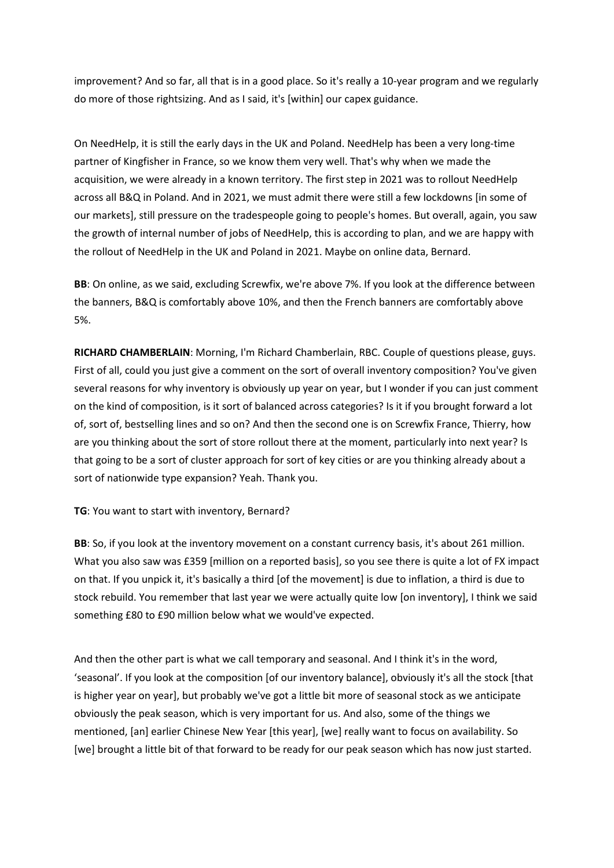improvement? And so far, all that is in a good place. So it's really a 10-year program and we regularly do more of those rightsizing. And as I said, it's [within] our capex guidance.

On NeedHelp, it is still the early days in the UK and Poland. NeedHelp has been a very long-time partner of Kingfisher in France, so we know them very well. That's why when we made the acquisition, we were already in a known territory. The first step in 2021 was to rollout NeedHelp across all B&Q in Poland. And in 2021, we must admit there were still a few lockdowns [in some of our markets], still pressure on the tradespeople going to people's homes. But overall, again, you saw the growth of internal number of jobs of NeedHelp, this is according to plan, and we are happy with the rollout of NeedHelp in the UK and Poland in 2021. Maybe on online data, Bernard.

**BB**: On online, as we said, excluding Screwfix, we're above 7%. If you look at the difference between the banners, B&Q is comfortably above 10%, and then the French banners are comfortably above 5%.

**RICHARD CHAMBERLAIN**: Morning, I'm Richard Chamberlain, RBC. Couple of questions please, guys. First of all, could you just give a comment on the sort of overall inventory composition? You've given several reasons for why inventory is obviously up year on year, but I wonder if you can just comment on the kind of composition, is it sort of balanced across categories? Is it if you brought forward a lot of, sort of, bestselling lines and so on? And then the second one is on Screwfix France, Thierry, how are you thinking about the sort of store rollout there at the moment, particularly into next year? Is that going to be a sort of cluster approach for sort of key cities or are you thinking already about a sort of nationwide type expansion? Yeah. Thank you.

## **TG**: You want to start with inventory, Bernard?

**BB**: So, if you look at the inventory movement on a constant currency basis, it's about 261 million. What you also saw was £359 [million on a reported basis], so you see there is quite a lot of FX impact on that. If you unpick it, it's basically a third [of the movement] is due to inflation, a third is due to stock rebuild. You remember that last year we were actually quite low [on inventory], I think we said something £80 to £90 million below what we would've expected.

And then the other part is what we call temporary and seasonal. And I think it's in the word, 'seasonal'. If you look at the composition [of our inventory balance], obviously it's all the stock [that is higher year on year], but probably we've got a little bit more of seasonal stock as we anticipate obviously the peak season, which is very important for us. And also, some of the things we mentioned, [an] earlier Chinese New Year [this year], [we] really want to focus on availability. So [we] brought a little bit of that forward to be ready for our peak season which has now just started.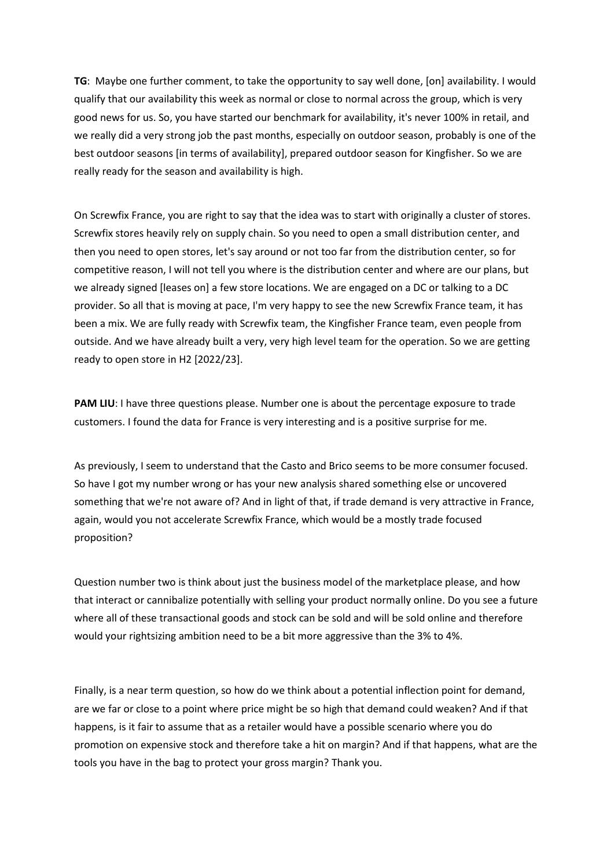**TG**: Maybe one further comment, to take the opportunity to say well done, [on] availability. I would qualify that our availability this week as normal or close to normal across the group, which is very good news for us. So, you have started our benchmark for availability, it's never 100% in retail, and we really did a very strong job the past months, especially on outdoor season, probably is one of the best outdoor seasons [in terms of availability], prepared outdoor season for Kingfisher. So we are really ready for the season and availability is high.

On Screwfix France, you are right to say that the idea was to start with originally a cluster of stores. Screwfix stores heavily rely on supply chain. So you need to open a small distribution center, and then you need to open stores, let's say around or not too far from the distribution center, so for competitive reason, I will not tell you where is the distribution center and where are our plans, but we already signed [leases on] a few store locations. We are engaged on a DC or talking to a DC provider. So all that is moving at pace, I'm very happy to see the new Screwfix France team, it has been a mix. We are fully ready with Screwfix team, the Kingfisher France team, even people from outside. And we have already built a very, very high level team for the operation. So we are getting ready to open store in H2 [2022/23].

**PAM LIU**: I have three questions please. Number one is about the percentage exposure to trade customers. I found the data for France is very interesting and is a positive surprise for me.

As previously, I seem to understand that the Casto and Brico seems to be more consumer focused. So have I got my number wrong or has your new analysis shared something else or uncovered something that we're not aware of? And in light of that, if trade demand is very attractive in France, again, would you not accelerate Screwfix France, which would be a mostly trade focused proposition?

Question number two is think about just the business model of the marketplace please, and how that interact or cannibalize potentially with selling your product normally online. Do you see a future where all of these transactional goods and stock can be sold and will be sold online and therefore would your rightsizing ambition need to be a bit more aggressive than the 3% to 4%.

Finally, is a near term question, so how do we think about a potential inflection point for demand, are we far or close to a point where price might be so high that demand could weaken? And if that happens, is it fair to assume that as a retailer would have a possible scenario where you do promotion on expensive stock and therefore take a hit on margin? And if that happens, what are the tools you have in the bag to protect your gross margin? Thank you.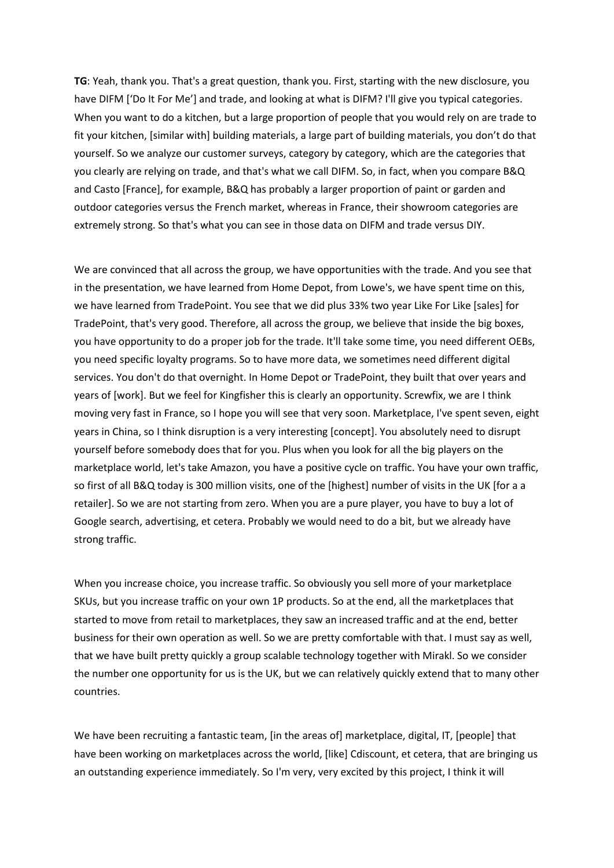**TG**: Yeah, thank you. That's a great question, thank you. First, starting with the new disclosure, you have DIFM ['Do It For Me'] and trade, and looking at what is DIFM? I'll give you typical categories. When you want to do a kitchen, but a large proportion of people that you would rely on are trade to fit your kitchen, [similar with] building materials, a large part of building materials, you don't do that yourself. So we analyze our customer surveys, category by category, which are the categories that you clearly are relying on trade, and that's what we call DIFM. So, in fact, when you compare B&Q and Casto [France], for example, B&Q has probably a larger proportion of paint or garden and outdoor categories versus the French market, whereas in France, their showroom categories are extremely strong. So that's what you can see in those data on DIFM and trade versus DIY.

We are convinced that all across the group, we have opportunities with the trade. And you see that in the presentation, we have learned from Home Depot, from Lowe's, we have spent time on this, we have learned from TradePoint. You see that we did plus 33% two year Like For Like [sales] for TradePoint, that's very good. Therefore, all across the group, we believe that inside the big boxes, you have opportunity to do a proper job for the trade. It'll take some time, you need different OEBs, you need specific loyalty programs. So to have more data, we sometimes need different digital services. You don't do that overnight. In Home Depot or TradePoint, they built that over years and years of [work]. But we feel for Kingfisher this is clearly an opportunity. Screwfix, we are I think moving very fast in France, so I hope you will see that very soon. Marketplace, I've spent seven, eight years in China, so I think disruption is a very interesting [concept]. You absolutely need to disrupt yourself before somebody does that for you. Plus when you look for all the big players on the marketplace world, let's take Amazon, you have a positive cycle on traffic. You have your own traffic, so first of all B&Q today is 300 million visits, one of the [highest] number of visits in the UK [for a a retailer]. So we are not starting from zero. When you are a pure player, you have to buy a lot of Google search, advertising, et cetera. Probably we would need to do a bit, but we already have strong traffic.

When you increase choice, you increase traffic. So obviously you sell more of your marketplace SKUs, but you increase traffic on your own 1P products. So at the end, all the marketplaces that started to move from retail to marketplaces, they saw an increased traffic and at the end, better business for their own operation as well. So we are pretty comfortable with that. I must say as well, that we have built pretty quickly a group scalable technology together with Mirakl. So we consider the number one opportunity for us is the UK, but we can relatively quickly extend that to many other countries.

We have been recruiting a fantastic team, [in the areas of] marketplace, digital, IT, [people] that have been working on marketplaces across the world, [like] Cdiscount, et cetera, that are bringing us an outstanding experience immediately. So I'm very, very excited by this project, I think it will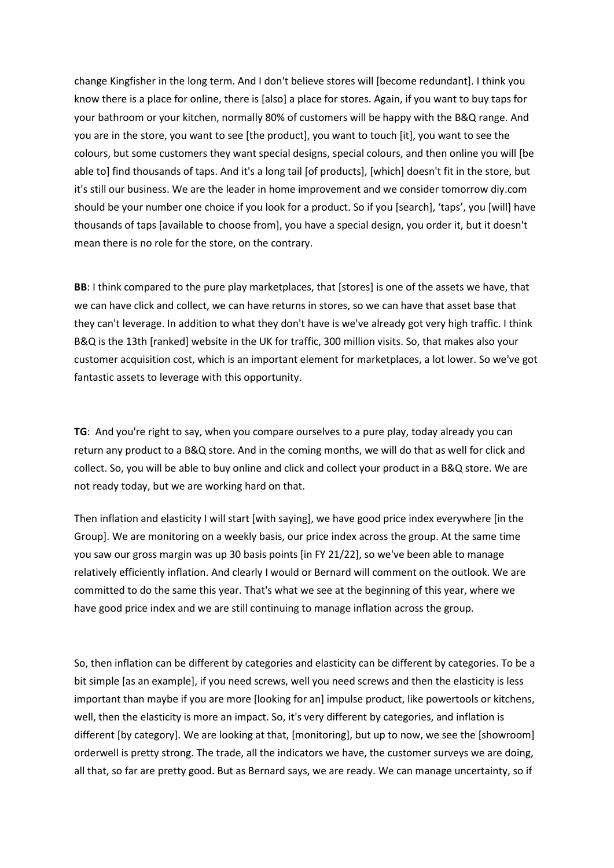change Kingfisher in the long term. And I don't believe stores will [become redundant]. I think you know there is a place for online, there is [also] a place for stores. Again, if you want to buy taps for your bathroom or your kitchen, normally 80% of customers will be happy with the B&Q range. And you are in the store, you want to see [the product], you want to touch [it], you want to see the colours, but some customers they want special designs, special colours, and then online you will [be able to] find thousands of taps. And it's a long tail [of products], [which] doesn't fit in the store, but it's still our business. We are the leader in home improvement and we consider tomorrow diy.com should be your number one choice if you look for a product. So if you [search], 'taps', you [will] have thousands of taps [available to choose from], you have a special design, you order it, but it doesn't mean there is no role for the store, on the contrary.

**BB**: I think compared to the pure play marketplaces, that [stores] is one of the assets we have, that we can have click and collect, we can have returns in stores, so we can have that asset base that they can't leverage. In addition to what they don't have is we've already got very high traffic. I think B&Q is the 13th [ranked] website in the UK for traffic, 300 million visits. So, that makes also your customer acquisition cost, which is an important element for marketplaces, a lot lower. So we've got fantastic assets to leverage with this opportunity.

**TG**: And you're right to say, when you compare ourselves to a pure play, today already you can return any product to a B&Q store. And in the coming months, we will do that as well for click and collect. So, you will be able to buy online and click and collect your product in a B&Q store. We are not ready today, but we are working hard on that.

Then inflation and elasticity I will start [with saying], we have good price index everywhere [in the Group]. We are monitoring on a weekly basis, our price index across the group. At the same time you saw our gross margin was up 30 basis points [in FY 21/22], so we've been able to manage relatively efficiently inflation. And clearly I would or Bernard will comment on the outlook. We are committed to do the same this year. That's what we see at the beginning of this year, where we have good price index and we are still continuing to manage inflation across the group.

So, then inflation can be different by categories and elasticity can be different by categories. To be a bit simple [as an example], if you need screws, well you need screws and then the elasticity is less important than maybe if you are more [looking for an] impulse product, like powertools or kitchens, well, then the elasticity is more an impact. So, it's very different by categories, and inflation is different [by category]. We are looking at that, [monitoring], but up to now, we see the [showroom] orderwell is pretty strong. The trade, all the indicators we have, the customer surveys we are doing, all that, so far are pretty good. But as Bernard says, we are ready. We can manage uncertainty, so if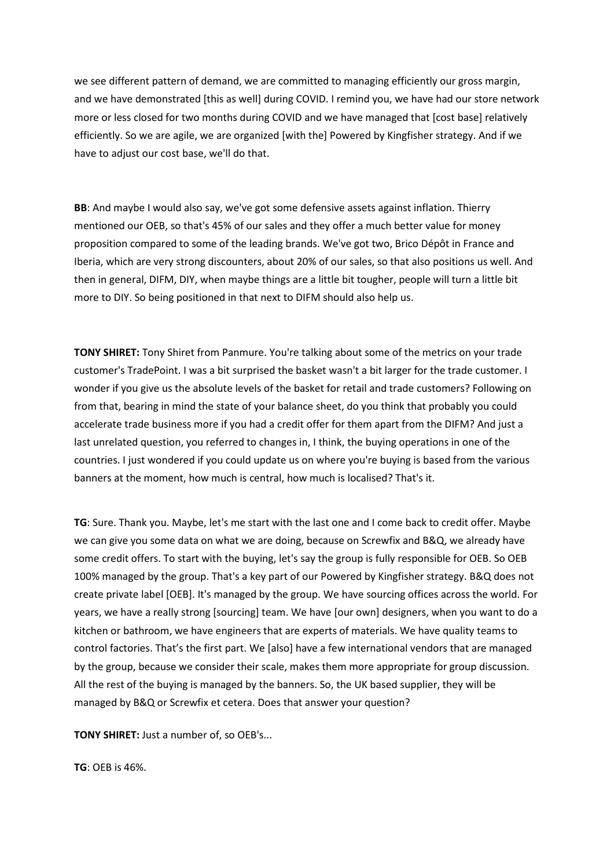we see different pattern of demand, we are committed to managing efficiently our gross margin, and we have demonstrated [this as well] during COVID. I remind you, we have had our store network more or less closed for two months during COVID and we have managed that [cost base] relatively efficiently. So we are agile, we are organized [with the] Powered by Kingfisher strategy. And if we have to adjust our cost base, we'll do that.

**BB**: And maybe I would also say, we've got some defensive assets against inflation. Thierry mentioned our OEB, so that's 45% of our sales and they offer a much better value for money proposition compared to some of the leading brands. We've got two, Brico Dépôt in France and Iberia, which are very strong discounters, about 20% of our sales, so that also positions us well. And then in general, DIFM, DIY, when maybe things are a little bit tougher, people will turn a little bit more to DIY. So being positioned in that next to DIFM should also help us.

**TONY SHIRET:** Tony Shiret from Panmure. You're talking about some of the metrics on your trade customer's TradePoint. I was a bit surprised the basket wasn't a bit larger for the trade customer. I wonder if you give us the absolute levels of the basket for retail and trade customers? Following on from that, bearing in mind the state of your balance sheet, do you think that probably you could accelerate trade business more if you had a credit offer for them apart from the DIFM? And just a last unrelated question, you referred to changes in, I think, the buying operations in one of the countries. I just wondered if you could update us on where you're buying is based from the various banners at the moment, how much is central, how much is localised? That's it.

**TG**: Sure. Thank you. Maybe, let's me start with the last one and I come back to credit offer. Maybe we can give you some data on what we are doing, because on Screwfix and B&Q, we already have some credit offers. To start with the buying, let's say the group is fully responsible for OEB. So OEB 100% managed by the group. That's a key part of our Powered by Kingfisher strategy. B&Q does not create private label [OEB]. It's managed by the group. We have sourcing offices across the world. For years, we have a really strong [sourcing] team. We have [our own] designers, when you want to do a kitchen or bathroom, we have engineers that are experts of materials. We have quality teams to control factories. That's the first part. We [also] have a few international vendors that are managed by the group, because we consider their scale, makes them more appropriate for group discussion. All the rest of the buying is managed by the banners. So, the UK based supplier, they will be managed by B&Q or Screwfix et cetera. Does that answer your question?

**TONY SHIRET:** Just a number of, so OEB's...

**TG**: OEB is 46%.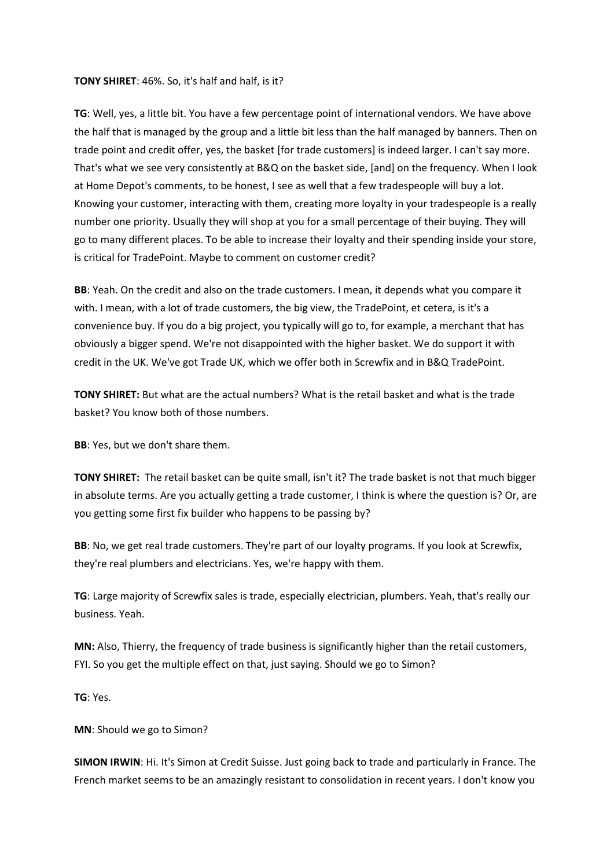#### **TONY SHIRET**: 46%. So, it's half and half, is it?

**TG**: Well, yes, a little bit. You have a few percentage point of international vendors. We have above the half that is managed by the group and a little bit less than the half managed by banners. Then on trade point and credit offer, yes, the basket [for trade customers] is indeed larger. I can't say more. That's what we see very consistently at B&Q on the basket side, [and] on the frequency. When I look at Home Depot's comments, to be honest, I see as well that a few tradespeople will buy a lot. Knowing your customer, interacting with them, creating more loyalty in your tradespeople is a really number one priority. Usually they will shop at you for a small percentage of their buying. They will go to many different places. To be able to increase their loyalty and their spending inside your store, is critical for TradePoint. Maybe to comment on customer credit?

**BB**: Yeah. On the credit and also on the trade customers. I mean, it depends what you compare it with. I mean, with a lot of trade customers, the big view, the TradePoint, et cetera, is it's a convenience buy. If you do a big project, you typically will go to, for example, a merchant that has obviously a bigger spend. We're not disappointed with the higher basket. We do support it with credit in the UK. We've got Trade UK, which we offer both in Screwfix and in B&Q TradePoint.

**TONY SHIRET:** But what are the actual numbers? What is the retail basket and what is the trade basket? You know both of those numbers.

**BB**: Yes, but we don't share them.

**TONY SHIRET:** The retail basket can be quite small, isn't it? The trade basket is not that much bigger in absolute terms. Are you actually getting a trade customer, I think is where the question is? Or, are you getting some first fix builder who happens to be passing by?

**BB**: No, we get real trade customers. They're part of our loyalty programs. If you look at Screwfix, they're real plumbers and electricians. Yes, we're happy with them.

**TG**: Large majority of Screwfix sales is trade, especially electrician, plumbers. Yeah, that's really our business. Yeah.

**MN:** Also, Thierry, the frequency of trade business is significantly higher than the retail customers, FYI. So you get the multiple effect on that, just saying. Should we go to Simon?

**TG**: Yes.

**MN**: Should we go to Simon?

**SIMON IRWIN**: Hi. It's Simon at Credit Suisse. Just going back to trade and particularly in France. The French market seems to be an amazingly resistant to consolidation in recent years. I don't know you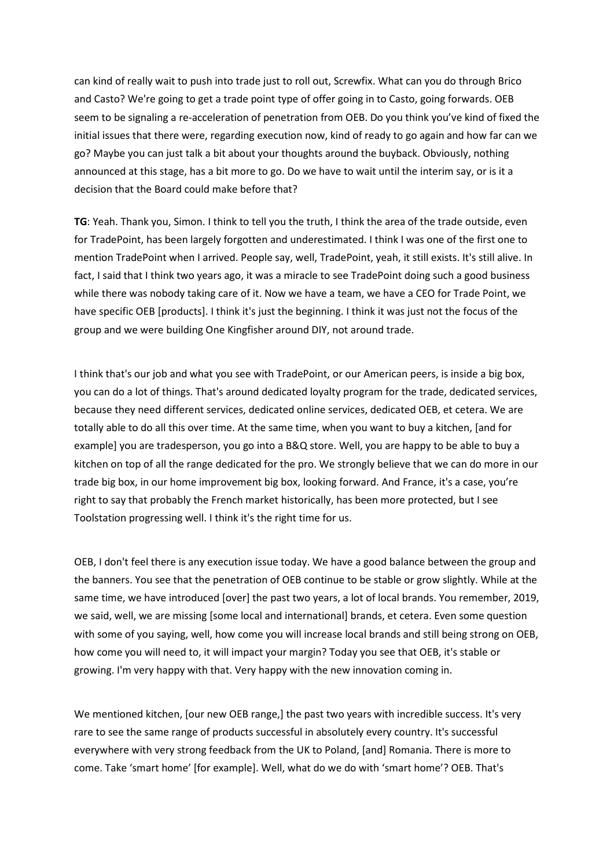can kind of really wait to push into trade just to roll out, Screwfix. What can you do through Brico and Casto? We're going to get a trade point type of offer going in to Casto, going forwards. OEB seem to be signaling a re-acceleration of penetration from OEB. Do you think you've kind of fixed the initial issues that there were, regarding execution now, kind of ready to go again and how far can we go? Maybe you can just talk a bit about your thoughts around the buyback. Obviously, nothing announced at this stage, has a bit more to go. Do we have to wait until the interim say, or is it a decision that the Board could make before that?

**TG**: Yeah. Thank you, Simon. I think to tell you the truth, I think the area of the trade outside, even for TradePoint, has been largely forgotten and underestimated. I think I was one of the first one to mention TradePoint when I arrived. People say, well, TradePoint, yeah, it still exists. It's still alive. In fact, I said that I think two years ago, it was a miracle to see TradePoint doing such a good business while there was nobody taking care of it. Now we have a team, we have a CEO for Trade Point, we have specific OEB [products]. I think it's just the beginning. I think it was just not the focus of the group and we were building One Kingfisher around DIY, not around trade.

I think that's our job and what you see with TradePoint, or our American peers, is inside a big box, you can do a lot of things. That's around dedicated loyalty program for the trade, dedicated services, because they need different services, dedicated online services, dedicated OEB, et cetera. We are totally able to do all this over time. At the same time, when you want to buy a kitchen, [and for example] you are tradesperson, you go into a B&Q store. Well, you are happy to be able to buy a kitchen on top of all the range dedicated for the pro. We strongly believe that we can do more in our trade big box, in our home improvement big box, looking forward. And France, it's a case, you're right to say that probably the French market historically, has been more protected, but I see Toolstation progressing well. I think it's the right time for us.

OEB, I don't feel there is any execution issue today. We have a good balance between the group and the banners. You see that the penetration of OEB continue to be stable or grow slightly. While at the same time, we have introduced [over] the past two years, a lot of local brands. You remember, 2019, we said, well, we are missing [some local and international] brands, et cetera. Even some question with some of you saying, well, how come you will increase local brands and still being strong on OEB, how come you will need to, it will impact your margin? Today you see that OEB, it's stable or growing. I'm very happy with that. Very happy with the new innovation coming in.

We mentioned kitchen, [our new OEB range,] the past two years with incredible success. It's very rare to see the same range of products successful in absolutely every country. It's successful everywhere with very strong feedback from the UK to Poland, [and] Romania. There is more to come. Take 'smart home' [for example]. Well, what do we do with 'smart home'? OEB. That's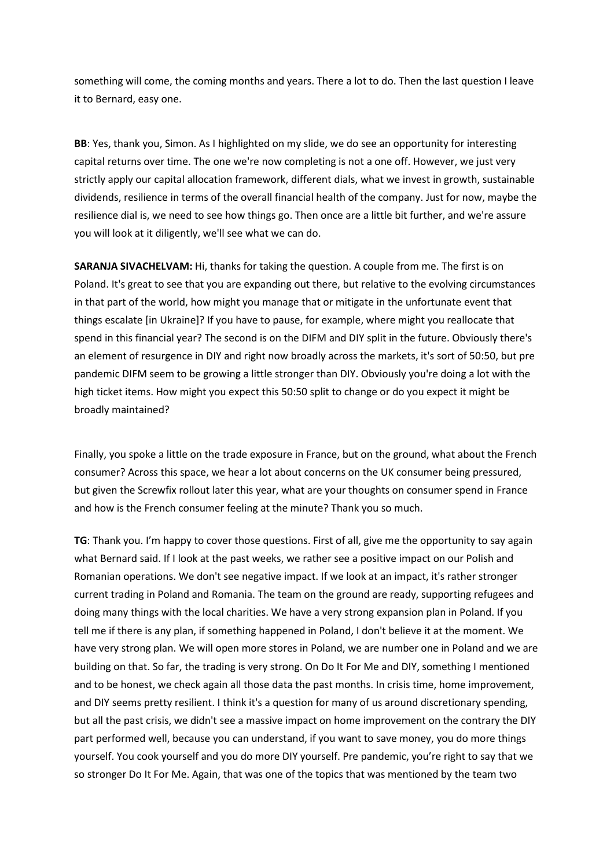something will come, the coming months and years. There a lot to do. Then the last question I leave it to Bernard, easy one.

**BB**: Yes, thank you, Simon. As I highlighted on my slide, we do see an opportunity for interesting capital returns over time. The one we're now completing is not a one off. However, we just very strictly apply our capital allocation framework, different dials, what we invest in growth, sustainable dividends, resilience in terms of the overall financial health of the company. Just for now, maybe the resilience dial is, we need to see how things go. Then once are a little bit further, and we're assure you will look at it diligently, we'll see what we can do.

**SARANJA SIVACHELVAM:** Hi, thanks for taking the question. A couple from me. The first is on Poland. It's great to see that you are expanding out there, but relative to the evolving circumstances in that part of the world, how might you manage that or mitigate in the unfortunate event that things escalate [in Ukraine]? If you have to pause, for example, where might you reallocate that spend in this financial year? The second is on the DIFM and DIY split in the future. Obviously there's an element of resurgence in DIY and right now broadly across the markets, it's sort of 50:50, but pre pandemic DIFM seem to be growing a little stronger than DIY. Obviously you're doing a lot with the high ticket items. How might you expect this 50:50 split to change or do you expect it might be broadly maintained?

Finally, you spoke a little on the trade exposure in France, but on the ground, what about the French consumer? Across this space, we hear a lot about concerns on the UK consumer being pressured, but given the Screwfix rollout later this year, what are your thoughts on consumer spend in France and how is the French consumer feeling at the minute? Thank you so much.

**TG**: Thank you. I'm happy to cover those questions. First of all, give me the opportunity to say again what Bernard said. If I look at the past weeks, we rather see a positive impact on our Polish and Romanian operations. We don't see negative impact. If we look at an impact, it's rather stronger current trading in Poland and Romania. The team on the ground are ready, supporting refugees and doing many things with the local charities. We have a very strong expansion plan in Poland. If you tell me if there is any plan, if something happened in Poland, I don't believe it at the moment. We have very strong plan. We will open more stores in Poland, we are number one in Poland and we are building on that. So far, the trading is very strong. On Do It For Me and DIY, something I mentioned and to be honest, we check again all those data the past months. In crisis time, home improvement, and DIY seems pretty resilient. I think it's a question for many of us around discretionary spending, but all the past crisis, we didn't see a massive impact on home improvement on the contrary the DIY part performed well, because you can understand, if you want to save money, you do more things yourself. You cook yourself and you do more DIY yourself. Pre pandemic, you're right to say that we so stronger Do It For Me. Again, that was one of the topics that was mentioned by the team two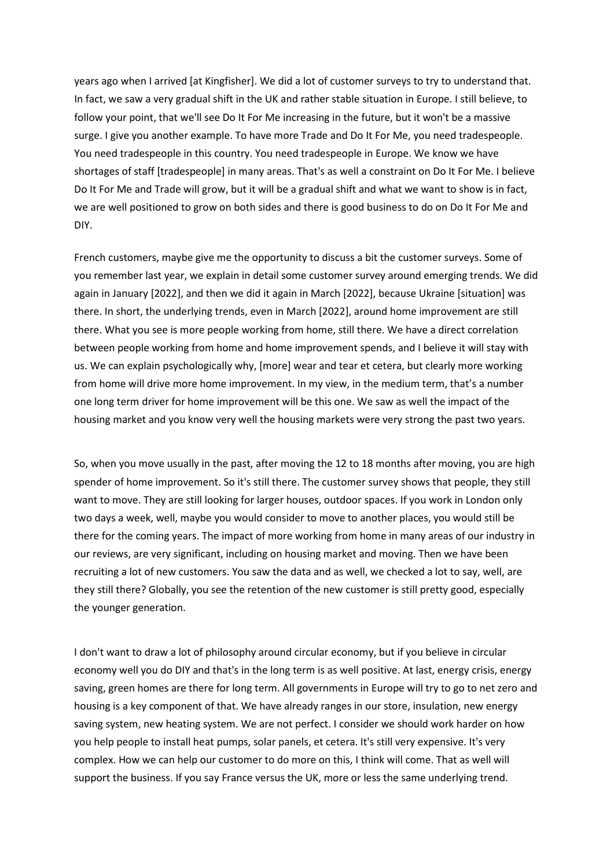years ago when I arrived [at Kingfisher]. We did a lot of customer surveys to try to understand that. In fact, we saw a very gradual shift in the UK and rather stable situation in Europe. I still believe, to follow your point, that we'll see Do It For Me increasing in the future, but it won't be a massive surge. I give you another example. To have more Trade and Do It For Me, you need tradespeople. You need tradespeople in this country. You need tradespeople in Europe. We know we have shortages of staff [tradespeople] in many areas. That's as well a constraint on Do It For Me. I believe Do It For Me and Trade will grow, but it will be a gradual shift and what we want to show is in fact, we are well positioned to grow on both sides and there is good business to do on Do It For Me and DIY.

French customers, maybe give me the opportunity to discuss a bit the customer surveys. Some of you remember last year, we explain in detail some customer survey around emerging trends. We did again in January [2022], and then we did it again in March [2022], because Ukraine [situation] was there. In short, the underlying trends, even in March [2022], around home improvement are still there. What you see is more people working from home, still there. We have a direct correlation between people working from home and home improvement spends, and I believe it will stay with us. We can explain psychologically why, [more] wear and tear et cetera, but clearly more working from home will drive more home improvement. In my view, in the medium term, that's a number one long term driver for home improvement will be this one. We saw as well the impact of the housing market and you know very well the housing markets were very strong the past two years.

So, when you move usually in the past, after moving the 12 to 18 months after moving, you are high spender of home improvement. So it's still there. The customer survey shows that people, they still want to move. They are still looking for larger houses, outdoor spaces. If you work in London only two days a week, well, maybe you would consider to move to another places, you would still be there for the coming years. The impact of more working from home in many areas of our industry in our reviews, are very significant, including on housing market and moving. Then we have been recruiting a lot of new customers. You saw the data and as well, we checked a lot to say, well, are they still there? Globally, you see the retention of the new customer is still pretty good, especially the younger generation.

I don't want to draw a lot of philosophy around circular economy, but if you believe in circular economy well you do DIY and that's in the long term is as well positive. At last, energy crisis, energy saving, green homes are there for long term. All governments in Europe will try to go to net zero and housing is a key component of that. We have already ranges in our store, insulation, new energy saving system, new heating system. We are not perfect. I consider we should work harder on how you help people to install heat pumps, solar panels, et cetera. It's still very expensive. It's very complex. How we can help our customer to do more on this, I think will come. That as well will support the business. If you say France versus the UK, more or less the same underlying trend.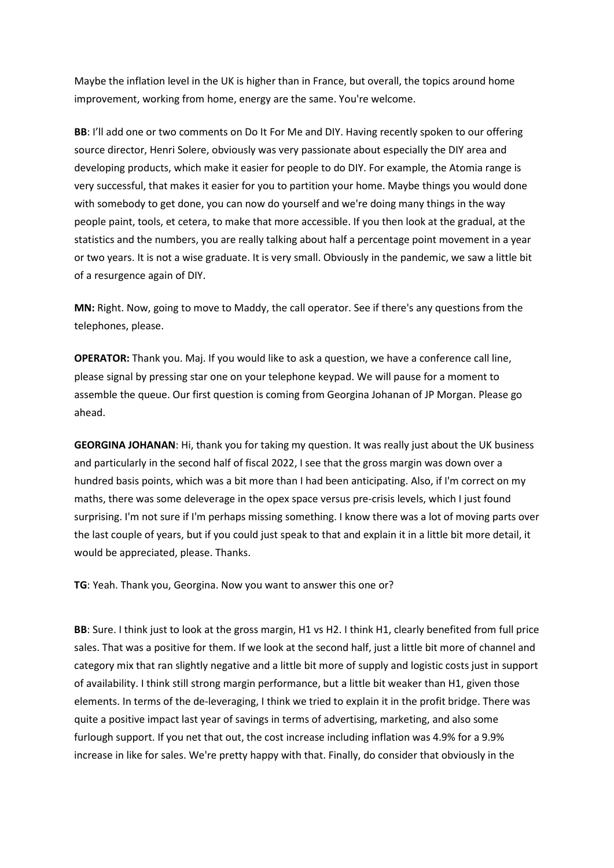Maybe the inflation level in the UK is higher than in France, but overall, the topics around home improvement, working from home, energy are the same. You're welcome.

**BB**: I'll add one or two comments on Do It For Me and DIY. Having recently spoken to our offering source director, Henri Solere, obviously was very passionate about especially the DIY area and developing products, which make it easier for people to do DIY. For example, the Atomia range is very successful, that makes it easier for you to partition your home. Maybe things you would done with somebody to get done, you can now do yourself and we're doing many things in the way people paint, tools, et cetera, to make that more accessible. If you then look at the gradual, at the statistics and the numbers, you are really talking about half a percentage point movement in a year or two years. It is not a wise graduate. It is very small. Obviously in the pandemic, we saw a little bit of a resurgence again of DIY.

**MN:** Right. Now, going to move to Maddy, the call operator. See if there's any questions from the telephones, please.

**OPERATOR:** Thank you. Maj. If you would like to ask a question, we have a conference call line, please signal by pressing star one on your telephone keypad. We will pause for a moment to assemble the queue. Our first question is coming from Georgina Johanan of JP Morgan. Please go ahead.

**GEORGINA JOHANAN**: Hi, thank you for taking my question. It was really just about the UK business and particularly in the second half of fiscal 2022, I see that the gross margin was down over a hundred basis points, which was a bit more than I had been anticipating. Also, if I'm correct on my maths, there was some deleverage in the opex space versus pre-crisis levels, which I just found surprising. I'm not sure if I'm perhaps missing something. I know there was a lot of moving parts over the last couple of years, but if you could just speak to that and explain it in a little bit more detail, it would be appreciated, please. Thanks.

**TG**: Yeah. Thank you, Georgina. Now you want to answer this one or?

**BB**: Sure. I think just to look at the gross margin, H1 vs H2. I think H1, clearly benefited from full price sales. That was a positive for them. If we look at the second half, just a little bit more of channel and category mix that ran slightly negative and a little bit more of supply and logistic costs just in support of availability. I think still strong margin performance, but a little bit weaker than H1, given those elements. In terms of the de-leveraging, I think we tried to explain it in the profit bridge. There was quite a positive impact last year of savings in terms of advertising, marketing, and also some furlough support. If you net that out, the cost increase including inflation was 4.9% for a 9.9% increase in like for sales. We're pretty happy with that. Finally, do consider that obviously in the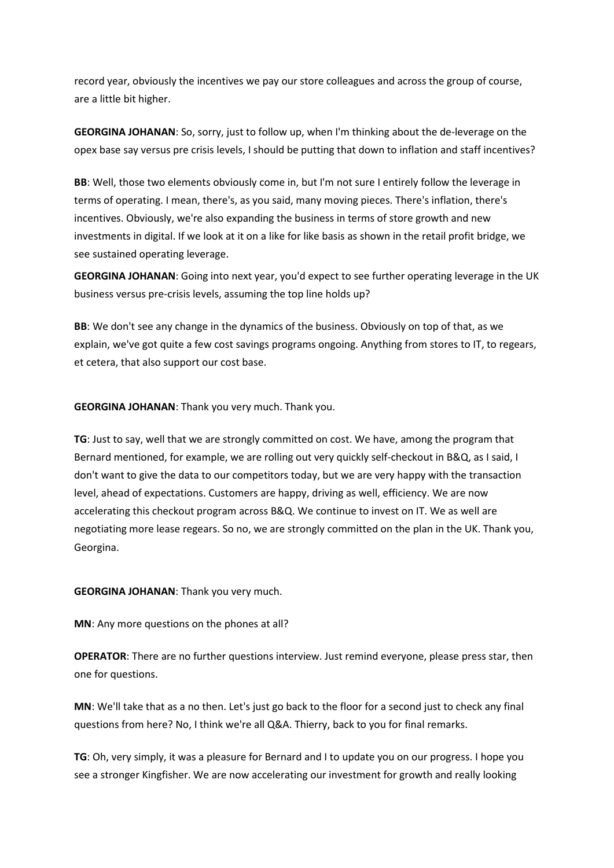record year, obviously the incentives we pay our store colleagues and across the group of course, are a little bit higher.

**GEORGINA JOHANAN**: So, sorry, just to follow up, when I'm thinking about the de-leverage on the opex base say versus pre crisis levels, I should be putting that down to inflation and staff incentives?

**BB**: Well, those two elements obviously come in, but I'm not sure I entirely follow the leverage in terms of operating. I mean, there's, as you said, many moving pieces. There's inflation, there's incentives. Obviously, we're also expanding the business in terms of store growth and new investments in digital. If we look at it on a like for like basis as shown in the retail profit bridge, we see sustained operating leverage.

**GEORGINA JOHANAN**: Going into next year, you'd expect to see further operating leverage in the UK business versus pre-crisis levels, assuming the top line holds up?

**BB**: We don't see any change in the dynamics of the business. Obviously on top of that, as we explain, we've got quite a few cost savings programs ongoing. Anything from stores to IT, to regears, et cetera, that also support our cost base.

**GEORGINA JOHANAN**: Thank you very much. Thank you.

**TG**: Just to say, well that we are strongly committed on cost. We have, among the program that Bernard mentioned, for example, we are rolling out very quickly self-checkout in B&Q, as I said, I don't want to give the data to our competitors today, but we are very happy with the transaction level, ahead of expectations. Customers are happy, driving as well, efficiency. We are now accelerating this checkout program across B&Q. We continue to invest on IT. We as well are negotiating more lease regears. So no, we are strongly committed on the plan in the UK. Thank you, Georgina.

#### **GEORGINA JOHANAN**: Thank you very much.

**MN**: Any more questions on the phones at all?

**OPERATOR**: There are no further questions interview. Just remind everyone, please press star, then one for questions.

**MN**: We'll take that as a no then. Let's just go back to the floor for a second just to check any final questions from here? No, I think we're all Q&A. Thierry, back to you for final remarks.

**TG**: Oh, very simply, it was a pleasure for Bernard and I to update you on our progress. I hope you see a stronger Kingfisher. We are now accelerating our investment for growth and really looking